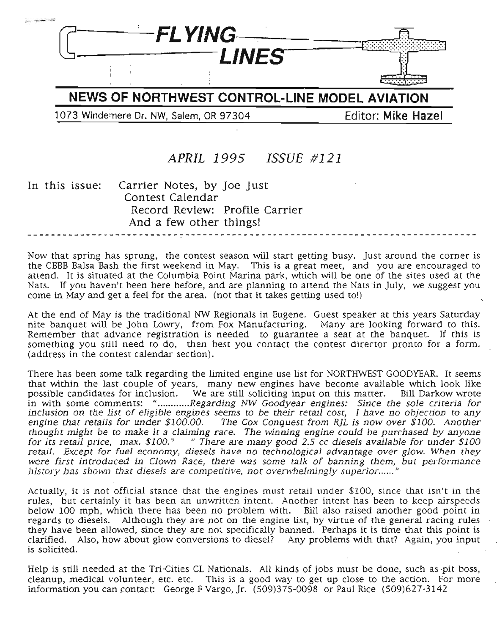

NEWS OF **NORTHWEST CONTROL-LINE MODEL AVIATION**

1073 Winde:nere Dr. NW, Salem, OR 97304 Editor: **Mike Hazel**

# APRIL 1995 *ISSUE* #121

In this issue: Carrier Notes, by Joe Just Contest Calendar Record Review: Profile Carrier And a few other things!

Now that spring has sprung, the contest season will start getting busy. Just around the corner is the CBBB Balsa Bash the first weekend in May. This is a great meet, and you are encouraged to attend. It is situated at the Columbia Point Marina park, which will be one of the sites used at the Nats. If you haven't been here before, and are planning to attend the Nats in July, we suggest you come in May and get a feel for the area. (not that it takes getting used to!)

At the end of May is the traditional NW Regionals in Eugene. Guest speaker at this years Saturday nite banquet will be John Lowry, from Fox Manufacturing. Many are looking forward to this. Remember that advance registration is needed to guarantee a seat at the banquet. If this is something you still need to do, then best you contact the contest director pronto for a form. (address in the contest calendar section).

There has been some talk regarding the limited engine use list for NORTHWEST GOODYEAR. It seems that within the last couple of years, many new engines have become available which look like possible candidates for inclusion. We are still soliciting input on this matter. Bill Darkow wrote in with some comments: "............Regarding NW Goodyear engines: Since the sole criteria for inclusion on the list of eligible engines seems to be their retail cost, I have no objection to any engine that retails for under \$100.00. The Cox Conquest from RjL is now over \$100. Another thought might be to make it a claiming race. The winning engine could be purchased by anyone for its retail price, max. \$100." " There are many good 2.5 cc diesels available for under \$100 retail. Except for fuel economy, diesels have no technological advantage over glow. When they were first introduced in Clown Race, there was some talk of banning them, but performance history has shown that diesels are competitive, not overwhelmingly superior......"

Actually, it is not official stance that the engines must retail under \$100, since that isn't in the rules, but certainly it has been an unwritten intent. Another intent has been to keep airspeeds below 100 mph, which there has been no problem with. Bill also raised another good point in regards to diesels. Although they are not on the engine list, by virtue of the general racing rules they have been allowed, since they are not specifically banned. Perhaps it is time that this point is clarified. Also, how about glow conversions to diesel? Any problems with that? Again, you input is solicited.

Help is still needed at the Tri-Cities CL Nationals. All kinds of jobs must be done, such as pit boss, cleanup, medical volunteer, etc. etc. This is a good way to get up close to the action. For more information you can contact: George F Vargo, Jr. (509)375-0098 or Paul Rice (509)627-3142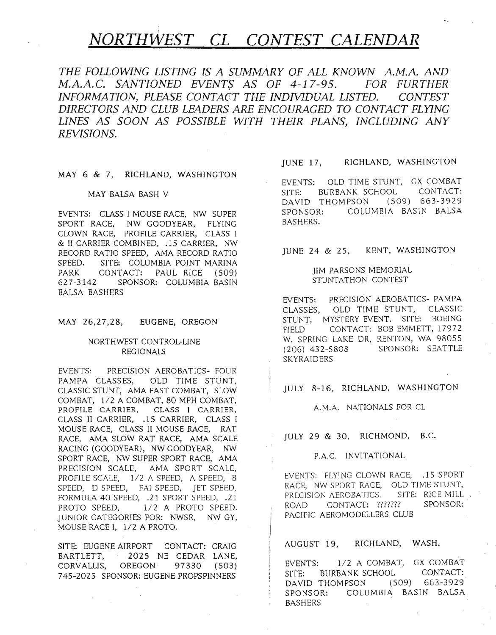# *NORTHWEST CL CONTEST CALENDAR*

*THE* FOLLO~ING *LISTING IS A SUMMARY OF ALL KNOWN A.M.A. AND M.A.A.C. SANTIONED EVENT\$ AS OF* 4-17-95. *FOR FURTHER INFORMATION, PLEASE CONTACT THE INDIVIDUAL LISTED. CONTEST DIRECTORS AND CLUB LEADERS ARE ENCOURAGED TO CONTACT FLYING LINES AS SOON AS POSSIBLE WITH THEIR PLANS, INCLUDING ANY REVISIONS.*

#### MAY 6 & 7, RICHLAND, WASHINGTON

#### MAY BALSA BASH V

EVENTS: CLASS I MOUSE RACE, NW SUPER SPORT RACE, NW GOODYEAR, FLYING CLOWN RACE, PROFILE CARRIER, CLASS I & II CARRIER COMBINED, .15 CARRIER, NW RECORD RATIO SPEED, AMA RECORD RATIO SPEED. SITE: COLUMBIA POINT MARINA PARK CONTACT: PAUL RICE (509) 627-3142 SPONSOR: COLUMBIA BASIN BALSA BASHERS

#### MAY 26,27,28, EUGENE, OREGON

#### NORTHWEST CONTROL-LINE REGIONALS

EVENTS: PRECISION AEROBATICS- FOUR PAMPA CLASSES, OLD TIME STUNT, CLASSIC STUNT, AMA FAST COMBAT, SLOW COMBAT, 1/2 A COMBAT, 80 MPH COMBAT, PROFILE CARRIER, CLASS I CARRIER, CLASS II CARRIER, .15 CARRIER, CLASS I MOUSE RACE, CLASS II MOUSE RACE, RAT RACE, AMA SLOW RAT RACE, AMA SCALE RACING (GOODYEAR), NW GOODYEAR, NW SPORT RACE, NW SUPER SPORT RACE, AMA PRECISION SCALE, AMA SPORT SCALE, PROFILE SCALE, 1/2 A SPEED, A SPEED, B SPEED, D SPEED, FAI SPEED, JET SPEED, FORMULA 40 SPEED, .21 SPORT SPEED, .21 PROTO SPEED,  $1/2$  A PROTO SPEED. JUNIOR CATEGORIES FOR: NWSR, NW GY, MOUSE RACE I, 1/2 A PROTO.

SITE: EUGENE AIRPORT CONTACT: CRAIG BARTLETT, 2025 NE CEDAR LANE, CORVALLIS, OREGON 97330 (503) 745-2025 SPONSOR: EUGENE PROPSPINNERS

#### JUNE 17, RICHLAND, WASHINGTON

EVENTS: OLD TIME STUNT, GX COMBAT SITE: BURBANK SCHOOL CONTACT: DAVID THOMPSON (509) 663-3929 SPONSOR: COLUMBIA BASIN BALSA BASHERS.

JUNE 24 & 25, KENT, WASHINGTON

#### JIM PARSONS MEMORIAL STUNTATHON CONTEST

EVENTS: PRECISION AEROBATICS- PAMPA CLASSES, OLD TIME STUNT, CLASSIC STUNT, MYSTERY EVENT. SITE: BOEING FIELD CONTACT: BOB EMMETT, 17972 W. SPRING LAKE DR, RENTON, WA 98055 (206) 432-5808 SPONSOR: SEATTLE SKYRAlDERS

#### JULY 8-16, RICHLAND, WASHINGTON

#### A.M.A. NATIONALS FOR CL

JULY 29 & 30, RICHMOND, B.C.

#### P.A.C. INVITATIONAL

EVENTS: FLYING CLOWN RACE, .15 SPORT RACE, NW SPORT RACE, OLD TIME STUNT, PRECISION AEROBATICS. SITE: RICE MILL ROAD CONTACT: ??????? SPONSOR: PACIFIC AEROMODELLERS CLUB

AUGUST 19, RICHLAND, WASH.

EVENTS: 1/2 A COMBAT, GX COMBAT SITE: BURBANK SCHOOL CONTACT: DAVID THOMPSON (509) 663-3929 SPONSOR: COLUMBIA BASIN BALSA BASHERS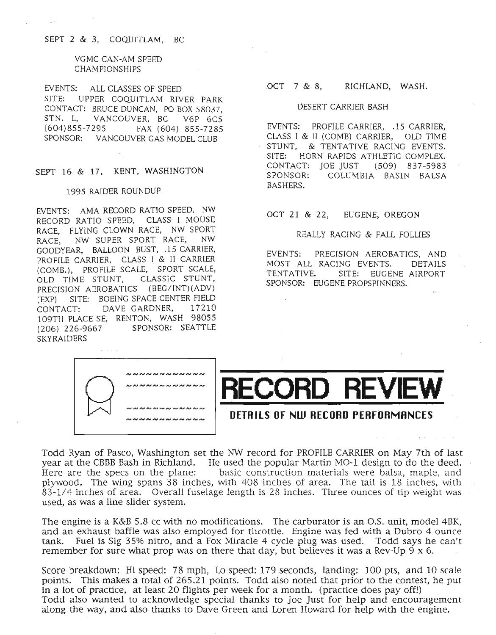#### SEPT 2 & 3, COQUITLAM, BC

 $\mathbf{L}$ 

#### VGMC CAN-AM SPEED CHAMPIONSHIPS

EVENTS: ALL CLASSES OF SPEED SITE: UPPER COQUITLAM RIVER PARK CONTACT: BRUCE DUNCAN, PO BOX 58037,<br>STN. L. VANCOUVER, BC. V6P 6C5 VANCOUVER, BC V6P 6C5 (604)855-7295 FAX (604) 855-7285 SPONSOR: VANCOUVER GAS MODEL CLUB

#### SEPT 16 & 17, KENT, WASHINGTON

#### 1995 RAIDER ROUNDUP

EVENTS: AMA RECORD RATIO SPEED, NW RECORD RATIO SPEED, CLASS I MOUSE RACE, FLYING CLOWN RACE, NW SPORT RACE, NW SUPER SPORT RACE, NW GOODYEAR, BALLOON BUST, .15 CARRIER, PROFILE CARRIER, CLASS I & II CARRIER (COMB.), PROFILE SCALE, SPORT SCALE, OLD TIME STUNT, CLASSIC STUNT, PRECISION AEROBATICS (BEG/INT)(ADV) (EXP) SITE: BOEING SPACE CENTER FIELD CONTACT: DAVE GARDNER, 17210 109TH PLACE SE, RENTON, WASH 98055 (206) 226-9667 SPONSOR: SEATTLE SKYRAIDERS

#### OCT 7 & 8, RICHLAND, WASH.

#### DESERT CARRIER BASH

EVENTS: PROFILE CARRIER, .15 CARRIER, CLASS I & II (COMB) CARRIER, OLD TIME STUNT, & TENTATIVE RACING EVENTS. SITE: HORN RAPIDS ATHLETIC COMPLEX. CONTACT: JOE JUST (509) 837-5983 SPONSOR: COLUMBIA BASIN BALSA BASHERS.

#### OCT 21 & 22, EUGENE, OREGON

#### REALLY RACING & FALL FOLLIES

EVENTS: PRECISION AEROBATICS, AND MOST ALL RACING EVENTS. DETAILS TENTATIVE. SITE: EUGENE AIRPORT SPONSOR: EUGENE PROPSPINNERS.



Todd Ryan of Pasco, Washington set the NW record for PROFILE CARRIER on May 7th of last year at the CBBB Bash in Richland. He used the popular Martin MO-1 design to do the deed. Here are the specs on the plane: basic construction materials were balsa, maple, and plywood. The wing spans 38 inches, with 408 inches of area. The tail is 18 inches, with 83-1/4 inches of area. Overall fuselage length is 28 inches. Three ounces of tip weight was used, as was a line slider system.

The engine is a K&B 5.8 cc with no modifications. The carburator is an O.S. unit, model 4BK, and an exhaust baffle was also employed for throttle. Engine was fed with a Dubro 4 ounce tank. Fuel is Sig 35% nitro, and a Fox Miracle 4 cycle plug was used. Todd says he can't remember for sure what prop was on there that day, but believes it was a Rev-Up  $9 \times 6$ .

Score breakdown: Hi speed: 78 mph, Lo speed: 179 seconds, landing: 100 pts, and 10 scale points. This makes a total of 265.21 points. Todd also noted that prior to the contest, he put in a lot of practice, at least 20 flights per week for a month. (practice does payoff!) Todd also wanted to acknowledge special thanks to Joe Just for help and encouragement along the way, and also thanks to Dave Green and Loren Howard for help with the engine.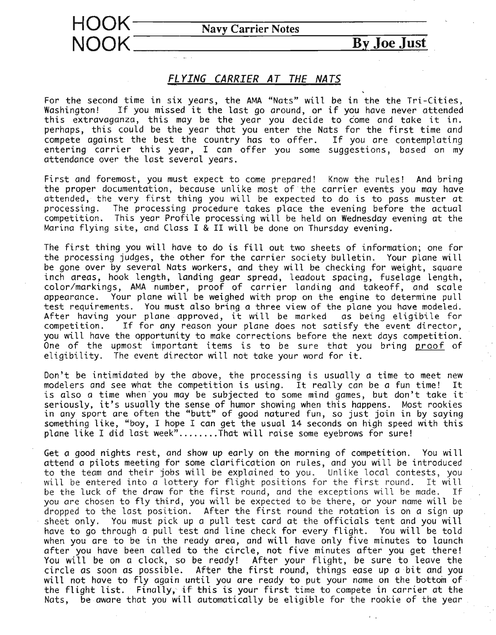



### *FL rING CARRIER AT THE NATS*

For the second time in six years, the AMA "Nats" will be in the the Tri-Cities, If you missed it the last go around, or if you have never attended this extravaganza, this may be the year you decide to come and take it in. perhaps, this could be the year that you enter the Nats for the first time and compete against the best the country has to offer. If you are contemplating entering carrier this year, I can offer you some suggestions, based on my attendance over the last several years.

First and foremost, you must expect to come prepared! Know the rules! And bring the proper documentation, because unlike most of the carrier events you may have attended, the very first thing you will be expected to do is to pass muster at processing. The processing procedure takes place the evening before the actual competition. This year Profile processing will be held on Wednesday evening *at* the Marina flying site, and Class I & II will be done on Thursday evening.

The first thing you will have to do is fill out two sheets of information; one for the processing judges, the other for the carrier society bulletin. Your plane will be gone over by several Nats workers, and they will be checking for weight, square inch areas, hook length, landing gear spread, leadout spacing, fuselage length, color/markings, AMA number, proof of carrier landing and takeoff, and scale appearance. Your plane will be weighed with prop on the engine to determine pull test requirements. You must also bring a three view of the plane you have modeled. After having your plane approved, it will be marked as being eligibile for competition. If for any reason your plane does not satisfy the event director, you will have the opportunity to make corrections before the next days competition. One of the upmost important items is to be sure that you bring proof of eligibility. The event director will not take your word for it.

Don't be intimidated by the above, the processing is usually *a* time to meet new modelers and see what the competition is using. It really can be a fun time! It is also <sup>a</sup> time when'you may be subjected to some mind games, but don't take it seriously, it's usually the sense of humor showing when this happens. Most rookies in any sport are often the "butt" of good natured fun, so just join in by saying something like, "boy, I hope I can get the usual 14 seconds on high speed with this plane like I did last week".......That will raise some eyebrows for sure!

Get a good nights rest, and show up early on the morning of competition. You will attend a pilots meeting for some clarification on rules, and you will be introduced to the team and their jobs will be explained to you. Unlike local contests, you will be entered into a lottery for flight positions for the first round. It will be the luck of the draw for the first round, and the exceptions will be made. If you are chosen to fly third, you will be expected to be there, or your name will be dropped to the last position. After the first round the rotation is on a sign up sheet only. You must pick up a pull test card at the officials tent and you will have to go through *a* pull test and line check for every flight. You will be told when you are to be in the ready area, and will have only five minutes to launch after you have been called to the circle, not five minutes after you get there! You will be on a clock, so be ready! After your flight, be sure to leave the circle as soon as possible. After the first round, things ease up a bit and you the flight list. Finally, if this is your first time to compete in carrier at the Nats, be aware that you will automatically be eligible for the rookie of the year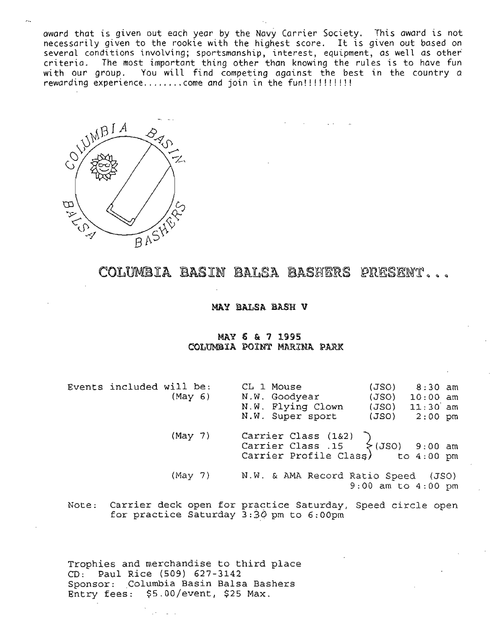award that is given out each year by the Navy Carrier Society. This award is not necessarily given to the rookie with the highest score. It is given out based on several conditions involving; sportsmanship, interest, equipment, as well as other criteria. The most important thing other than knowing the rules is to have fun with our group. You will find competing against the best in the country a rewarding experience come and join in the fun!!!!!!!!!!



COLUMBIA BASIN BALSA BASHERS PRESENT...

#### MAY BALSA DASH V

#### MAY 6 & 7 1995 COLUMBIA POINT MARINA PARK

Events included will be: (May 6) CL 1 Mouse N.W. Goodyear N.W. Flying Clown N.W. Super sport (JSO) (JSO) (JSO) (JSO) 8:30 am 10:00 am 11:30 am  $2:00$  pm (May 7) (May 7) Carrier Class (1&2) } Carrier Class .15  $\{$ 13S0\} 9:00 am Carrier Profile Class) to  $4:00$  pm N.W. & AMA Record Ratio Speed (JSO) 9:00 am to 4:00 pm

Note: Carrier deck open for practice Saturday, Speed circle open for practice Saturday *3:3p* pm to 6:00pm

Trophies and merchandise to third place CD: Paul Rice (509) 627-3142 Sponsor: Columbia Basin Balsa Bashers Entry fees: \$5.00/event, \$25 Max.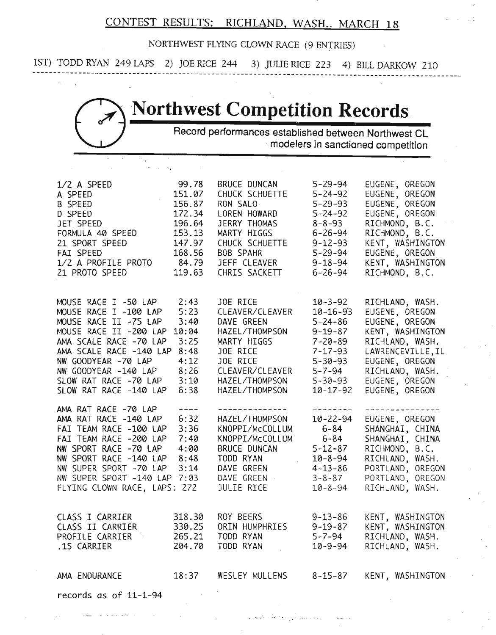### CONTEST RESULTS: RICHLAND. WASH., MARCH 18

NORTHWEST FLYING CLOWN RACE (9 ENTRIES)

1ST) TODD RYAN 249 LAPS 2) JOE RICE 244 3) JULIE RICE 223 4) BILL DARKOW 210 **-------------------------------------------------------------------------------------------------------**

# **'Northwest Competition Records,**

Record performances established between Northwest CL , modelers in sanctioned competition

| 1/2 A SPEED<br>A SPEED<br>B SPEED<br>D SPEED<br>JET SPEED<br>FORMULA 40 SPEED<br>21 SPORT SPEED<br>FAI SPEED<br>1/2 A PROFILE PROTO<br>21 PROTO SPEED                                                                                                   | 99.78<br>151.07<br>156.87<br>172.34<br>196.64<br>153.13<br>147.97<br>168.56<br>84.79<br>119.63 | <b>BRUCE DUNCAN</b><br>CHUCK SCHUETTE<br>RON SALO<br>LOREN HOWARD<br>JERRY THOMAS<br>MARTY HIGGS<br>CHUCK SCHUETTE<br><b>BOB SPAHR</b><br>JEFF CLEAVER<br>CHRIS SACKETT | $5 - 29 - 94$<br>$5 - 24 - 92$<br>$5 - 29 - 93$<br>$5 - 24 - 92$<br>$8 - 8 - 93$<br>$6 - 26 - 94$<br>$9 - 12 - 93$<br>$5 - 29 - 94$<br>$9 - 18 - 94$<br>$6 - 26 - 94$ | EUGENE, OREGON<br>EUGENE, OREGON<br>EUGENE, OREGON<br>EUGENE, OREGON<br>RICHMOND, B.C.<br>RICHMOND, B.C.<br>KENT, WASHINGTON<br>EUGENE, OREGON<br>KENT, WASHINGTON<br>RICHMOND, B.C.     |
|---------------------------------------------------------------------------------------------------------------------------------------------------------------------------------------------------------------------------------------------------------|------------------------------------------------------------------------------------------------|-------------------------------------------------------------------------------------------------------------------------------------------------------------------------|-----------------------------------------------------------------------------------------------------------------------------------------------------------------------|------------------------------------------------------------------------------------------------------------------------------------------------------------------------------------------|
| MOUSE RACE I -50 LAP<br>MOUSE RACE I -100 LAP<br>MOUSE RACE II -75 LAP<br>MOUSE RACE II -200 LAP<br>AMA SCALE RACE -70 LAP<br>AMA SCALE RACE -140 LAP<br>NW GOODYEAR -70 LAP<br>NW GOODYEAR -140 LAP<br>SLOW RAT RACE -70 LAP<br>SLOW RAT RACE -140 LAP | 2:43<br>5:23<br>3:40<br>10:04<br>3:25<br>8:48<br>4:12<br>8:26<br>3:10<br>6:38                  | JOE RICE<br>CLEAVER/CLEAVER<br>DAVE GREEN<br>HAZEL/THOMPSON<br>MARTY HIGGS<br>JOE RICE<br>JOE RICE<br>CLEAVER/CLEAVER<br>HAZEL/THOMPSON<br>HAZEL/THOMPSON               | $10 - 3 - 92$<br>$10 - 16 - 93$<br>$5 - 24 - 86$<br>$9 - 19 - 87$<br>$7 - 20 - 89$<br>$7 - 17 - 93$<br>$5 - 30 - 93$<br>5-7-94<br>$5 - 30 - 93$<br>10-17-92           | RICHLAND, WASH.<br>EUGENE, OREGON<br>EUGENE, OREGON<br>KENT, WASHINGTON<br>RICHLAND, WASH.<br>LAWRENCEVILLE, IL<br>EUGENE, OREGON<br>RICHLAND, WASH.<br>EUGENE, OREGON<br>EUGENE, OREGON |
| AMA RAT RACE -70 LAP<br>AMA RAT RACE -140 LAP<br>FAI TEAM RACE -100 LAP<br>FAI TEAM RACE -200 LAP<br>NW SPORT RACE -70 LAP<br>NW SPORT RACE -140 LAP<br>NW SUPER SPORT -70 LAP<br>NW SUPER SPORT -140 LAP<br>FLYING CLOWN RACE, LAPS: 272               | $- - - -$<br>6:32<br>3:36<br>7:40<br>4:00<br>8:48<br>3:14<br>7:03                              | ---------<br>HAZEL/THOMPSON<br>KNOPPI/McCOLLUM<br>KNOPPI/McCOLLUM<br><b>BRUCE DUNCAN</b><br>TODD RYAN<br>DAVE GREEN<br>DAVE GREEN<br><b>JULIE RICE</b>                  | $10 - 22 - 94$<br>$6 - 84$<br>6-84<br>$5 - 12 - 87$<br>$10 - 8 - 94$<br>$4 - 13 - 86$<br>$3 - 8 - 87$<br>$10 - 8 - 94$                                                | EUGENE, OREGON<br>SHANGHAI, CHINA<br>SHANGHAI, CHINA<br>RICHMOND, B.C.<br>RICHLAND, WASH.<br>PORTLAND, OREGON<br>PORTLAND, OREGON<br>RICHLAND, WASH.                                     |
| CLASS I CARRIER<br>CLASS II CARRIER<br>PROFILE CARRIER<br>.15 CARRIER                                                                                                                                                                                   | 318.30<br>330.25                                                                               | ROY BEERS<br>ORIN HUMPHRIES<br>265.21 TODD RYAN<br>204.70 TODD RYAN                                                                                                     | $9 - 13 - 86$<br>$9 - 19 - 87$<br>$10 - 9 - 94$                                                                                                                       | KENT, WASHINGTON<br>KENT, WASHINGTON<br>5-7-94 RICHLAND, WASH.<br>RICHLAND, WASH.                                                                                                        |
| AMA ENDURANCE                                                                                                                                                                                                                                           |                                                                                                | 18:37 WESLEY MULLENS                                                                                                                                                    | 8-15-87                                                                                                                                                               | KENT, WASHINGTON                                                                                                                                                                         |
| records as of $11-1-94$                                                                                                                                                                                                                                 |                                                                                                |                                                                                                                                                                         |                                                                                                                                                                       |                                                                                                                                                                                          |

.......... ,,' ............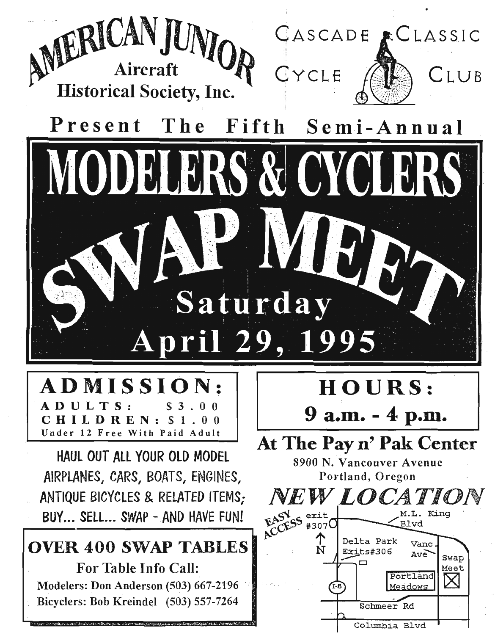